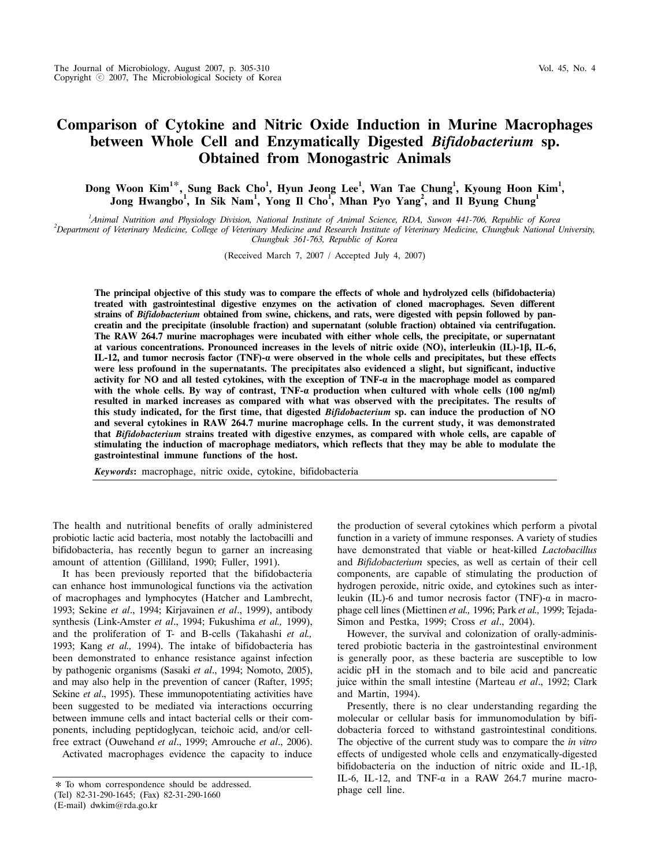# **Comparison of Cytokine and Nitric Oxide Induction in Murine Macrophages between Whole Cell and Enzymatically Digested** *Bifidobacterium* **sp. Obtained from Monogastric Animals**

Dong Woon Kim<sup>1\*</sup>, Sung Back Cho<sup>1</sup>, Hyun Jeong Lee<sup>1</sup>, Wan Tae Chung<sup>1</sup>, Kyoung Hoon Kim<sup>1</sup>, **Jong Hwangbo<sup>1</sup> , In Sik Nam<sup>1</sup> , Yong Il Cho<sup>1</sup> , Mhan Pyo Yang<sup>2</sup> , and Il Byung Chung1**

<sup>1</sup> *Animal Nutrition and Physiology Division, National Institute of Animal Science, RDA, Suwon 441-706, Republic of Korea <sup>2</sup><br><sup>2</sup> Department of Veteringer, Medicine, College of Veteringer, Medicine and Research Institute Department of Veterinary Medicine, College of Veterinary Medicine and Research Institute of Veterinary Medicine, Chungbuk National University,* 

*Chungbuk 361-763, Republic of Korea*

(Received March 7, 2007 / Accepted July 4, 2007)

**The principal objective of this study was to compare the effects of whole and hydrolyzed cells (bifidobacteria) treated with gastrointestinal digestive enzymes on the activation of cloned macrophages. Seven different strains of** *Bifidobacterium* **obtained from swine, chickens, and rats, were digested with pepsin followed by pancreatin and the precipitate (insoluble fraction) and supernatant (soluble fraction) obtained via centrifugation. The RAW 264.7 murine macrophages were incubated with either whole cells, the precipitate, or supernatant at various concentrations. Pronounced increases in the levels of nitric oxide (NO), interleukin (IL)-1β, IL-6, IL-12, and tumor necrosis factor (TNF)-α were observed in the whole cells and precipitates, but these effects were less profound in the supernatants. The precipitates also evidenced a slight, but significant, inductive activity for NO and all tested cytokines, with the exception of TNF-α in the macrophage model as compared with the whole cells. By way of contrast, TNF-α production when cultured with whole cells (100 ng/ml) resulted in marked increases as compared with what was observed with the precipitates. The results of this study indicated, for the first time, that digested** *Bifidobacterium* **sp. can induce the production of NO and several cytokines in RAW 264.7 murine macrophage cells. In the current study, it was demonstrated that** *Bifidobacterium* **strains treated with digestive enzymes, as compared with whole cells, are capable of stimulating the induction of macrophage mediators, which reflects that they may be able to modulate the gastrointestinal immune functions of the host.**

*Keywords***:** macrophage, nitric oxide, cytokine, bifidobacteria

The health and nutritional benefits of orally administered probiotic lactic acid bacteria, most notably the lactobacilli and bifidobacteria, has recently begun to garner an increasing amount of attention (Gilliland, 1990; Fuller, 1991).

 It has been previously reported that the bifidobacteria can enhance host immunological functions via the activation of macrophages and lymphocytes (Hatcher and Lambrecht, 1993; Sekine *et al*., 1994; Kirjavainen *et al*., 1999), antibody synthesis (Link-Amster *et al*., 1994; Fukushima *et al.,* 1999), and the proliferation of T- and B-cells (Takahashi *et al.,* 1993; Kang *et al.,* 1994). The intake of bifidobacteria has been demonstrated to enhance resistance against infection by pathogenic organisms (Sasaki *et al*., 1994; Nomoto, 2005), and may also help in the prevention of cancer (Rafter, 1995; Sekine *et al.*, 1995). These immunopotentiating activities have been suggested to be mediated via interactions occurring between immune cells and intact bacterial cells or their components, including peptidoglycan, teichoic acid, and/or cellfree extract (Ouwehand *et al*., 1999; Amrouche *et al*., 2006).

Activated macrophages evidence the capacity to induce

(E-mail) dwkim@rda.go.kr

the production of several cytokines which perform a pivotal function in a variety of immune responses. A variety of studies have demonstrated that viable or heat-killed *Lactobacillus* and *Bifidobacterium* species, as well as certain of their cell components, are capable of stimulating the production of hydrogen peroxide, nitric oxide, and cytokines such as interleukin (IL)-6 and tumor necrosis factor (TNF)- $\alpha$  in macrophage cell lines (Miettinen *et al.,* 1996; Park *et al.,* 1999; Tejada-Simon and Pestka, 1999; Cross *et al*., 2004).

 However, the survival and colonization of orally-administered probiotic bacteria in the gastrointestinal environment is generally poor, as these bacteria are susceptible to low acidic pH in the stomach and to bile acid and pancreatic juice within the small intestine (Marteau *et al*., 1992; Clark and Martin, 1994).

 Presently, there is no clear understanding regarding the molecular or cellular basis for immunomodulation by bifidobacteria forced to withstand gastrointestinal conditions. The objective of the current study was to compare the *in vitro*  effects of undigested whole cells and enzymatically-digested bifidobacteria on the induction of nitric oxide and IL-1β, IL-6, IL-12, and TNF- $\alpha$  in a RAW 264.7 murine macrophage cell line.

<sup>✽</sup> To whom correspondence should be addressed.

<sup>(</sup>Tel) 82-31-290-1645; (Fax) 82-31-290-1660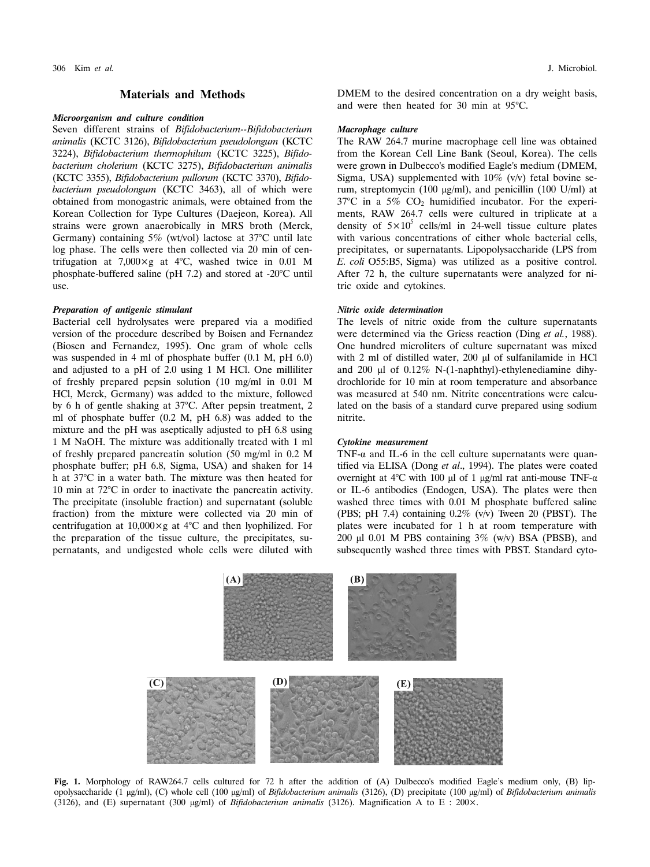#### **Materials and Methods**

#### *Microorganism and culture condition*

Seven different strains of *Bifidobacterium--Bifidobacterium animalis* (KCTC 3126), *Bifidobacterium pseudolongum* (KCTC 3224), *Bifidobacterium thermophilum* (KCTC 3225), *Bifidobacterium cholerium* (KCTC 3275), *Bifidobacterium animalis* (KCTC 3355), *Bifidobacterium pullorum* (KCTC 3370), *Bifidobacterium pseudolongum* (KCTC 3463), all of which were obtained from monogastric animals, were obtained from the Korean Collection for Type Cultures (Daejeon, Korea). All strains were grown anaerobically in MRS broth (Merck, Germany) containing 5% (wt/vol) lactose at 37°C until late log phase. The cells were then collected via 20 min of centrifugation at 7,000×g at 4°C, washed twice in 0.01 M phosphate-buffered saline (pH 7.2) and stored at -20°C until use.

#### *Preparation of antigenic stimulant*

Bacterial cell hydrolysates were prepared via a modified version of the procedure described by Boisen and Fernandez (Biosen and Fernandez, 1995). One gram of whole cells was suspended in 4 ml of phosphate buffer (0.1 M, pH 6.0) and adjusted to a pH of 2.0 using 1 M HCl. One milliliter of freshly prepared pepsin solution (10 mg/ml in 0.01 M HCl, Merck, Germany) was added to the mixture, followed by 6 h of gentle shaking at 37°C. After pepsin treatment, 2 ml of phosphate buffer (0.2 M, pH 6.8) was added to the mixture and the pH was aseptically adjusted to pH 6.8 using 1 M NaOH. The mixture was additionally treated with 1 ml of freshly prepared pancreatin solution (50 mg/ml in 0.2 M phosphate buffer; pH 6.8, Sigma, USA) and shaken for 14 h at 37°C in a water bath. The mixture was then heated for 10 min at 72°C in order to inactivate the pancreatin activity. The precipitate (insoluble fraction) and supernatant (soluble fraction) from the mixture were collected via 20 min of centrifugation at  $10,000 \times g$  at  $4^{\circ}$ C and then lyophilized. For the preparation of the tissue culture, the precipitates, supernatants, and undigested whole cells were diluted with DMEM to the desired concentration on a dry weight basis, and were then heated for 30 min at 95°C.

## *Macrophage culture*

The RAW 264.7 murine macrophage cell line was obtained from the Korean Cell Line Bank (Seoul, Korea). The cells were grown in Dulbecco's modified Eagle's medium (DMEM, Sigma, USA) supplemented with 10% (v/v) fetal bovine serum, streptomycin (100 μg/ml), and penicillin (100 U/ml) at 37°C in a 5% CO2 humidified incubator. For the experiments, RAW 264.7 cells were cultured in triplicate at a density of  $5 \times 10^5$  cells/ml in 24-well tissue culture plates with various concentrations of either whole bacterial cells, precipitates, or supernatants. Lipopolysaccharide (LPS from *E. coli* O55:B5, Sigma) was utilized as a positive control. After 72 h, the culture supernatants were analyzed for nitric oxide and cytokines.

#### *Nitric oxide determination*

The levels of nitric oxide from the culture supernatants were determined via the Griess reaction (Ding *et al.*, 1988). One hundred microliters of culture supernatant was mixed with 2 ml of distilled water, 200 μl of sulfanilamide in HCl and 200 μl of 0.12% N-(1-naphthyl)-ethylenediamine dihydrochloride for 10 min at room temperature and absorbance was measured at 540 nm. Nitrite concentrations were calculated on the basis of a standard curve prepared using sodium nitrite.

## *Cytokine measurement*

TNF- $\alpha$  and IL-6 in the cell culture supernatants were quantified via ELISA (Dong *et al*., 1994). The plates were coated overnight at 4°C with 100 μl of 1 μg/ml rat anti-mouse TNF- $α$ or IL-6 antibodies (Endogen, USA). The plates were then washed three times with 0.01 M phosphate buffered saline (PBS; pH 7.4) containing  $0.2\%$  (v/v) Tween 20 (PBST). The plates were incubated for 1 h at room temperature with 200 μl 0.01 M PBS containing  $3\%$  (w/v) BSA (PBSB), and subsequently washed three times with PBST. Standard cyto-



**Fig. 1.** Morphology of RAW264.7 cells cultured for 72 h after the addition of (A) Dulbecco's modified Eagle's medium only, (B) lipopolysaccharide (1 μg/ml), (C) whole cell (100 μg/ml) of *Bifidobacterium animalis* (3126), (D) precipitate (100 μg/ml) of *Bifidobacterium animalis*  (3126), and (E) supernatant (300 μg/ml) of *Bifidobacterium animalis* (3126). Magnification A to E : 200×.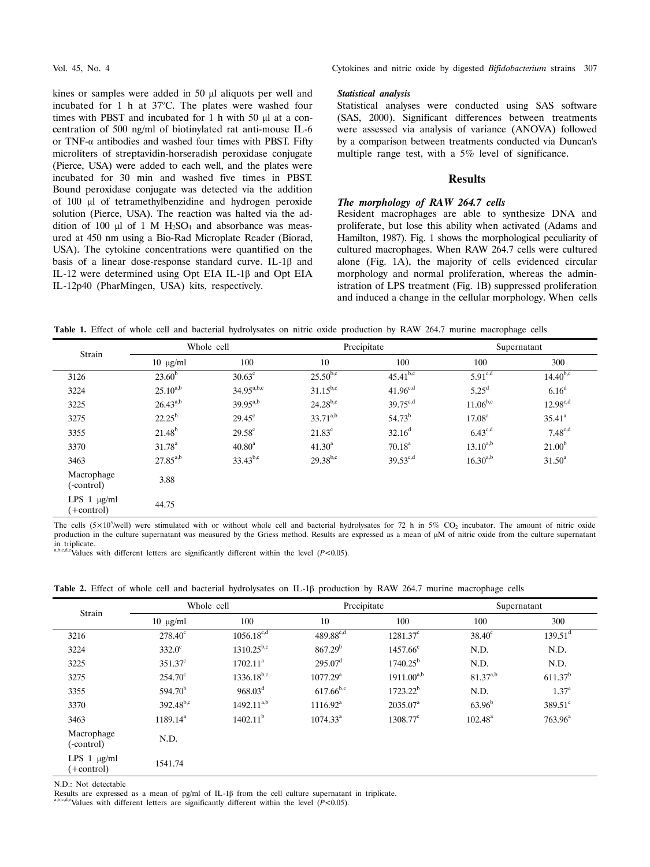kines or samples were added in 50 μl aliquots per well and incubated for 1 h at 37°C. The plates were washed four times with PBST and incubated for 1 h with 50 μl at a concentration of 500 ng/ml of biotinylated rat anti-mouse IL-6 or TNF- $\alpha$  antibodies and washed four times with PBST. Fifty microliters of streptavidin-horseradish peroxidase conjugate (Pierce, USA) were added to each well, and the plates were incubated for 30 min and washed five times in PBST. Bound peroxidase conjugate was detected via the addition of 100 μl of tetramethylbenzidine and hydrogen peroxide solution (Pierce, USA). The reaction was halted via the addition of 100 μl of 1 M  $H_2SO_4$  and absorbance was measured at 450 nm using a Bio-Rad Microplate Reader (Biorad, USA). The cytokine concentrations were quantified on the basis of a linear dose-response standard curve. IL-1β and IL-12 were determined using Opt EIA IL-1β and Opt EIA IL-12p40 (PharMingen, USA) kits, respectively.

Vol. 45, No. 4 Cytokines and nitric oxide by digested *Bifidobacterium* strains 307

#### *Statistical analysis*

Statistical analyses were conducted using SAS software (SAS, 2000). Significant differences between treatments were assessed via analysis of variance (ANOVA) followed by a comparison between treatments conducted via Duncan's multiple range test, with a 5% level of significance.

# **Results**

# *The morphology of RAW 264.7 cells*

Resident macrophages are able to synthesize DNA and proliferate, but lose this ability when activated (Adams and Hamilton, 1987). Fig. 1 shows the morphological peculiarity of cultured macrophages. When RAW 264.7 cells were cultured alone (Fig. 1A), the majority of cells evidenced circular morphology and normal proliferation, whereas the administration of LPS treatment (Fig. 1B) suppressed proliferation and induced a change in the cellular morphology. When cells

**Table 1.** Effect of whole cell and bacterial hydrolysates on nitric oxide production by RAW 264.7 murine macrophage cells

| Strain                          | Whole cell      |                                      | Precipitate     |                 | Supernatant         |                    |
|---------------------------------|-----------------|--------------------------------------|-----------------|-----------------|---------------------|--------------------|
|                                 | $10 \mu g/ml$   | 100                                  | 10              | 100             | 100                 | 300                |
| 3126                            | $23.60^{b}$     | $30.63^{\circ}$                      | $25.50^{b,c}$   | $45.41^{b,c}$   | $5.91^{c,d}$        | $14.40^{b,c}$      |
| 3224                            | $25.10^{a,b}$   | $34.95^{\text{a},\text{b},\text{c}}$ | $31.15^{b,c}$   | $41.96^{c,d}$   | $5.25^{\mathrm{d}}$ | 6.16 <sup>d</sup>  |
| 3225                            | $26.43^{a,b}$   | $39.95^{a,b}$                        | $24.28^{b,c}$   | $39.75^{c,d}$   | $11.06^{b,c}$       | $12.98^{c,d}$      |
| 3275                            | $22.25^{b}$     | $29.45^{\circ}$                      | $33.71^{a,b}$   | $54.73^{b}$     | 17.08 <sup>a</sup>  | $35.41^a$          |
| 3355                            | $21.48^{b}$     | $29.58^{\circ}$                      | $21.83^{\circ}$ | $32.16^d$       | $6.43^{c,d}$        | $7.48^{c,d}$       |
| 3370                            | $31.78^{\rm a}$ | $40.80^{\rm a}$                      | $41.30^{\rm a}$ | $70.18^{\rm a}$ | $13.10^{a,b}$       | 21.00 <sup>b</sup> |
| 3463                            | $27.85^{a,b}$   | $33.43^{b,c}$                        | $29.38^{b,c}$   | $39.53^{c,d}$   | $16.30^{a,b}$       | $31.50^a$          |
| Macrophage<br>(-control)        | 3.88            |                                      |                 |                 |                     |                    |
| LPS $1$ $\mu$ g/ml<br>+control) | 44.75           |                                      |                 |                 |                     |                    |

The cells  $(5 \times 10^5/\text{well})$  were stimulated with or without whole cell and bacterial hydrolysates for 72 h in 5% CO<sub>2</sub> incubator. The amount of nitric oxide production in the culture supernatant was measured by the Griess method. Results are expressed as a mean of μM of nitric oxide from the culture supernatant in triplicate.

Values with different letters are significantly different within the level  $(P<0.05)$ .

**Table 2.** Effect of whole cell and bacterial hydrolysates on IL-1β production by RAW 264.7 murine macrophage cells

| Strain                           | Whole cell          |                   | Precipitate            |                   | Supernatant         |                     |
|----------------------------------|---------------------|-------------------|------------------------|-------------------|---------------------|---------------------|
|                                  | $10 \mu g/ml$       | 100               | 10                     | 100               | 100                 | 300                 |
| 3216                             | $278.40^{\circ}$    | $1056.18^{c,d}$   | $489.88^{c,d}$         | $1281.37^{\circ}$ | $38.40^{\circ}$     | $139.51^{\text{d}}$ |
| 3224                             | $332.0^{\circ}$     | $1310.25^{b,c}$   | $867.29^{b}$           | $1457.66^{\circ}$ | N.D.                | N.D.                |
| 3225                             | $351.37^{\circ}$    | $1702.11^a$       | $295.07^{\rm d}$       | $1740.25^{\rm b}$ | N.D.                | N.D.                |
| 3275                             | $254.70^{\circ}$    | $1336.18^{b,c}$   | $1077.29^{\mathrm{a}}$ | $1911.00^{a,b}$   | $81.37^{a,b}$       | 611.37 <sup>b</sup> |
| 3355                             | 594.70 <sup>b</sup> | $968.03^d$        | $617.66^{b,c}$         | $1723.22^b$       | N.D.                | $1.37^{\circ}$      |
| 3370                             | $392.48^{b,c}$      | $1492.11^{a,b}$   | 1116.92 <sup>a</sup>   | $2035.07^{\rm a}$ | $63.96^{\rm b}$     | $389.51^{\circ}$    |
| 3463                             | $1189.14^a$         | $1402.11^{\rm b}$ | $1074.33^{\text{a}}$   | $1308.77^{\circ}$ | $102.48^{\text{a}}$ | $763.96^{\text{a}}$ |
| Macrophage<br>(-control)         | N.D.                |                   |                        |                   |                     |                     |
| LPS $1 \mu g/ml$<br>$(+control)$ | 1541.74             |                   |                        |                   |                     |                     |

N.D.: Not detectable

Results are expressed as a mean of pg/ml of IL-1 $\beta$  from the cell culture supernatant in triplicate. a,b,c,d,eValues with different letters are significantly different within the level (*P*<0.05).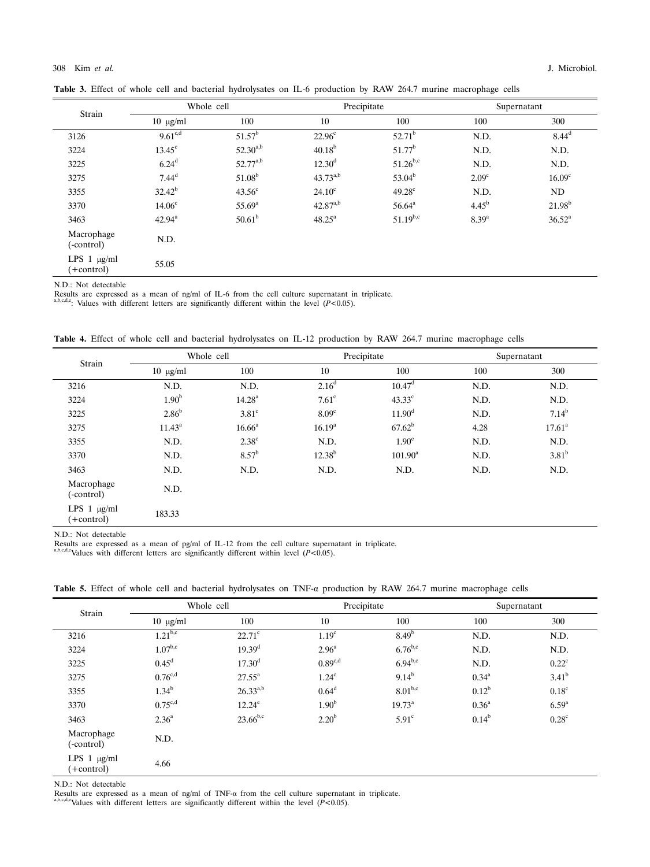| <b>Table 3.</b> Effect of whole cell and bacterial hydrolysates on IL-6 production by RAW 264.7 murine macrophage cells |  |  |  |  |  |  |  |  |  |  |
|-------------------------------------------------------------------------------------------------------------------------|--|--|--|--|--|--|--|--|--|--|
|-------------------------------------------------------------------------------------------------------------------------|--|--|--|--|--|--|--|--|--|--|

| Strain                           | Whole cell         |                 | Precipitate          |                    | Supernatant       |                    |
|----------------------------------|--------------------|-----------------|----------------------|--------------------|-------------------|--------------------|
|                                  | $10 \mu g/ml$      | 100             | 10                   | 100                | 100               | 300                |
| 3126                             | $9.61^{c,d}$       | $51.57^b$       | $22.96^\circ$        | $52.71^b$          | N.D.              | 8.44 <sup>d</sup>  |
| 3224                             | $13.45^{\circ}$    | $52.30^{a,b}$   | $40.18^{b}$          | 51.77 <sup>b</sup> | N.D.              | N.D.               |
| 3225                             | 6.24 <sup>d</sup>  | $52.77^{a,b}$   | $12.30^d$            | $51.26^{b,c}$      | N.D.              | N.D.               |
| 3275                             | $7.44^d$           | $51.08^{\rm b}$ | $43.73^{a,b}$        | $53.04^b$          | 2.09 <sup>c</sup> | 16.09 <sup>c</sup> |
| 3355                             | $32.42^{b}$        | $43.56^{\circ}$ | $24.10^{\circ}$      | $49.28^{\circ}$    | N.D.              | ND                 |
| 3370                             | 14.06 <sup>c</sup> | $55.69^{a}$     | $42.87^{a,b}$        | $56.64^{a}$        | $4.45^{b}$        | $21.98^{b}$        |
| 3463                             | $42.94^{\rm a}$    | $50.61^b$       | $48.25^{\mathrm{a}}$ | $51.19^{b,c}$      | 8.39 <sup>a</sup> | $36.52^{\rm a}$    |
| Macrophage<br>(-control)         | N.D.               |                 |                      |                    |                   |                    |
| LPS $1 \mu g/ml$<br>$(+control)$ | 55.05              |                 |                      |                    |                   |                    |

N.D.: Not detectable

Results are expressed as a mean of ng/ml of IL-6 from the cell culture supernatant in triplicate.  $a_{\text{b,}c,d,e}$ : Values with different letters are significantly different within the level (*P*<0.05).

**Table 4.** Effect of whole cell and bacterial hydrolysates on IL-12 production by RAW 264.7 murine macrophage cells

| Strain                           | Whole cell        |                    |                   | Precipitate         | Supernatant |                   |
|----------------------------------|-------------------|--------------------|-------------------|---------------------|-------------|-------------------|
|                                  | $10 \mu g/ml$     | 100                | 10                | 100                 | 100         | 300               |
| 3216                             | N.D.              | N.D.               | 2.16 <sup>d</sup> | $10.47^{\rm d}$     | N.D.        | N.D.              |
| 3224                             | 1.90 <sup>b</sup> | 14.28 <sup>a</sup> | $7.61^{\circ}$    | $43.33^{\circ}$     | N.D.        | N.D.              |
| 3225                             | $2.86^b$          | $3.81^\circ$       | 8.09 <sup>c</sup> | $11.90^d$           | N.D.        | $7.14^{b}$        |
| 3275                             | $11.43^a$         | 16.66 <sup>a</sup> | $16.19^{a}$       | $67.62^b$           | 4.28        | $17.61^a$         |
| 3355                             | N.D.              | $2.38^\circ$       | N.D.              | $1.90^\circ$        | N.D.        | N.D.              |
| 3370                             | N.D.              | $8.57^{\rm b}$     | $12.38^{b}$       | $101.90^{\text{a}}$ | N.D.        | 3.81 <sup>b</sup> |
| 3463                             | N.D.              | N.D.               | N.D.              | N.D.                | N.D.        | N.D.              |
| Macrophage<br>(-control)         | N.D.              |                    |                   |                     |             |                   |
| LPS $1 \mu g/ml$<br>$(+control)$ | 183.33            |                    |                   |                     |             |                   |
|                                  |                   |                    |                   |                     |             |                   |

N.D.: Not detectable

Results are expressed as a mean of pg/ml of IL-12 from the cell culture supernatant in triplicate.<br>Results are expressed as a mean of pg/ml of IL-12 from the cell culture supernatant in triplicate.

**Table 5.** Effect of whole cell and bacterial hydrolysates on TNF-α production by RAW 264.7 murine macrophage cells

| Strain                           | Whole cell          |                 | Precipitate       |                   | Supernatant       |                   |
|----------------------------------|---------------------|-----------------|-------------------|-------------------|-------------------|-------------------|
|                                  | $10 \mu g/ml$       | 100             | 10                | 100               | 100               | 300               |
| 3216                             | $1.21^{b,c}$        | $22.71^\circ$   | 1.19 <sup>c</sup> | 8.49 <sup>b</sup> | N.D.              | N.D.              |
| 3224                             | $1.07^{b,c}$        | $19.39^{d}$     | 2.96 <sup>a</sup> | $6.76^{b,c}$      | N.D.              | N.D.              |
| 3225                             | $0.45^d$            | $17.30^d$       | $0.89^{c,d}$      | $6.94^{b,c}$      | N.D.              | $0.22^{\circ}$    |
| 3275                             | $0.76^{\text{c,d}}$ | $27.55^{\rm a}$ | $1.24^{\circ}$    | $9.14^{b}$        | $0.34^{a}$        | $3.41^{b}$        |
| 3355                             | $1.34^{b}$          | $26.33^{a,b}$   | $0.64^d$          | $8.01^{b,c}$      | $0.12^{b}$        | $0.18^{\circ}$    |
| 3370                             | $0.75^{\text{c,d}}$ | $12.24^{\circ}$ | 1.90 <sup>b</sup> | $19.73^{a}$       | 0.36 <sup>a</sup> | 6.59 <sup>a</sup> |
| 3463                             | $2.36^{\circ}$      | $23.66^{b,c}$   | 2.20 <sup>b</sup> | $5.91^\circ$      | $0.14^{b}$        | $0.28^{\circ}$    |
| Macrophage<br>(-control)         | N.D.                |                 |                   |                   |                   |                   |
| LPS $1 \mu g/ml$<br>$(+control)$ | 4.66                |                 |                   |                   |                   |                   |

N.D.: Not detectable

Results are expressed as a mean of ng/ml of TNF-α from the cell culture supernatant in triplicate.<br>a,b,c,d,eValues with different letters are significantly different within the level (*P*<0.05).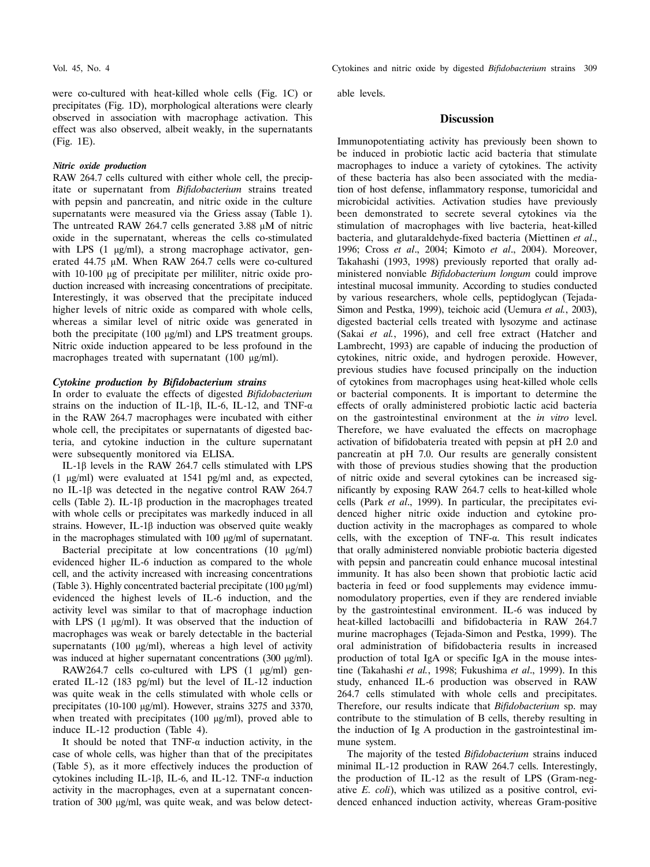were co-cultured with heat-killed whole cells (Fig. 1C) or precipitates (Fig. 1D), morphological alterations were clearly observed in association with macrophage activation. This effect was also observed, albeit weakly, in the supernatants (Fig. 1E).

## *Nitric oxide production*

RAW 264.7 cells cultured with either whole cell, the precipitate or supernatant from *Bifidobacterium* strains treated with pepsin and pancreatin, and nitric oxide in the culture supernatants were measured via the Griess assay (Table 1). The untreated RAW 264.7 cells generated 3.88 μM of nitric oxide in the supernatant, whereas the cells co-stimulated with LPS (1 μg/ml), a strong macrophage activator, generated 44.75 μM. When RAW 264.7 cells were co-cultured with 10-100 μg of precipitate per mililiter, nitric oxide production increased with increasing concentrations of precipitate. Interestingly, it was observed that the precipitate induced higher levels of nitric oxide as compared with whole cells, whereas a similar level of nitric oxide was generated in both the precipitate (100 μg/ml) and LPS treatment groups. Nitric oxide induction appeared to be less profound in the macrophages treated with supernatant (100 μg/ml).

## *Cytokine production by Bifidobacterium strains*

In order to evaluate the effects of digested *Bifidobacterium* strains on the induction of IL-1β, IL-6, IL-12, and TNF- $\alpha$ in the RAW 264.7 macrophages were incubated with either whole cell, the precipitates or supernatants of digested bacteria, and cytokine induction in the culture supernatant were subsequently monitored via ELISA.

 IL-1β levels in the RAW 264.7 cells stimulated with LPS (1 μg/ml) were evaluated at 1541 pg/ml and, as expected, no IL-1β was detected in the negative control RAW 264.7 cells (Table 2). IL-1β production in the macrophages treated with whole cells or precipitates was markedly induced in all strains. However, IL-1β induction was observed quite weakly in the macrophages stimulated with 100 μg/ml of supernatant.

 Bacterial precipitate at low concentrations (10 μg/ml) evidenced higher IL-6 induction as compared to the whole cell, and the activity increased with increasing concentrations (Table 3). Highly concentrated bacterial precipitate (100 μg/ml) evidenced the highest levels of IL-6 induction, and the activity level was similar to that of macrophage induction with LPS (1 μg/ml). It was observed that the induction of macrophages was weak or barely detectable in the bacterial supernatants (100 μg/ml), whereas a high level of activity was induced at higher supernatant concentrations (300 μg/ml).

 RAW264.7 cells co-cultured with LPS (1 μg/ml) generated IL-12 (183 pg/ml) but the level of IL-12 induction was quite weak in the cells stimulated with whole cells or precipitates (10-100 μg/ml). However, strains 3275 and 3370, when treated with precipitates (100 μg/ml), proved able to induce IL-12 production (Table 4).

It should be noted that  $TNF-\alpha$  induction activity, in the case of whole cells, was higher than that of the precipitates (Table 5), as it more effectively induces the production of cytokines including IL-1β, IL-6, and IL-12. TNF-α induction activity in the macrophages, even at a supernatant concentration of 300 μg/ml, was quite weak, and was below detect-

Vol. 45, No. 4 Cytokines and nitric oxide by digested *Bifidobacterium* strains 309

able levels.

# **Discussion**

Immunopotentiating activity has previously been shown to be induced in probiotic lactic acid bacteria that stimulate macrophages to induce a variety of cytokines. The activity of these bacteria has also been associated with the mediation of host defense, inflammatory response, tumoricidal and microbicidal activities. Activation studies have previously been demonstrated to secrete several cytokines via the stimulation of macrophages with live bacteria, heat-killed bacteria, and glutaraldehyde-fixed bacteria (Miettinen *et al*., 1996; Cross *et al*., 2004; Kimoto *et al*., 2004). Moreover, Takahashi (1993, 1998) previously reported that orally administered nonviable *Bifidobacterium longum* could improve intestinal mucosal immunity. According to studies conducted by various researchers, whole cells, peptidoglycan (Tejada-Simon and Pestka, 1999), teichoic acid (Uemura *et al.*, 2003), digested bacterial cells treated with lysozyme and actinase (Sakai *et al.*, 1996), and cell free extract (Hatcher and Lambrecht, 1993) are capable of inducing the production of cytokines, nitric oxide, and hydrogen peroxide. However, previous studies have focused principally on the induction of cytokines from macrophages using heat-killed whole cells or bacterial components. It is important to determine the effects of orally administered probiotic lactic acid bacteria on the gastrointestinal environment at the *in vitro* level. Therefore, we have evaluated the effects on macrophage activation of bifidobateria treated with pepsin at pH 2.0 and pancreatin at pH 7.0. Our results are generally consistent with those of previous studies showing that the production of nitric oxide and several cytokines can be increased significantly by exposing RAW 264.7 cells to heat-killed whole cells (Park *et al*., 1999). In particular, the precipitates evidenced higher nitric oxide induction and cytokine production activity in the macrophages as compared to whole cells, with the exception of TNF-α. This result indicates that orally administered nonviable probiotic bacteria digested with pepsin and pancreatin could enhance mucosal intestinal immunity. It has also been shown that probiotic lactic acid bacteria in feed or food supplements may evidence immunomodulatory properties, even if they are rendered inviable by the gastrointestinal environment. IL-6 was induced by heat-killed lactobacilli and bifidobacteria in RAW 264.7 murine macrophages (Tejada-Simon and Pestka, 1999). The oral administration of bifidobacteria results in increased production of total IgA or specific IgA in the mouse intestine (Takahashi *et al.*, 1998; Fukushima *et al*., 1999). In this study, enhanced IL-6 production was observed in RAW 264.7 cells stimulated with whole cells and precipitates. Therefore, our results indicate that *Bifidobacterium* sp. may contribute to the stimulation of B cells, thereby resulting in the induction of Ig A production in the gastrointestinal immune system.

 The majority of the tested *Bifidobacterium* strains induced minimal IL-12 production in RAW 264.7 cells. Interestingly, the production of IL-12 as the result of LPS (Gram-negative *E. coli*), which was utilized as a positive control, evidenced enhanced induction activity, whereas Gram-positive